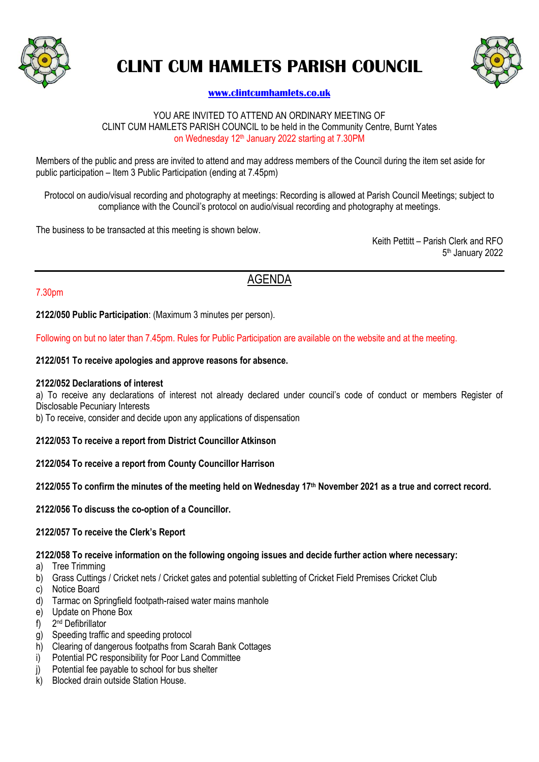

# **CLINT CUM HAMLETS PARISH COUNCIL**



### **[www.clintcumhamlets.co.uk](http://www.clintcumhamlets.co.uk/)**

#### YOU ARE INVITED TO ATTEND AN ORDINARY MEETING OF CLINT CUM HAMLETS PARISH COUNCIL to be held in the Community Centre, Burnt Yates on Wednesday 12<sup>th</sup> January 2022 starting at 7.30PM

Members of the public and press are invited to attend and may address members of the Council during the item set aside for public participation – Item 3 Public Participation (ending at 7.45pm)

Protocol on audio/visual recording and photography at meetings: Recording is allowed at Parish Council Meetings; subject to compliance with the Council's protocol on audio/visual recording and photography at meetings.

The business to be transacted at this meeting is shown below.

Keith Pettitt – Parish Clerk and RFO 5 th January 2022

## AGENDA

#### 7.30pm

**2122/050 Public Participation**: (Maximum 3 minutes per person).

Following on but no later than 7.45pm. Rules for Public Participation are available on the website and at the meeting.

#### **2122/051 To receive apologies and approve reasons for absence.**

#### **2122/052 Declarations of interest**

a) To receive any declarations of interest not already declared under council's code of conduct or members Register of Disclosable Pecuniary Interests

b) To receive, consider and decide upon any applications of dispensation

#### **2122/053 To receive a report from District Councillor Atkinson**

#### **2122/054 To receive a report from County Councillor Harrison**

#### **2122/055 To confirm the minutes of the meeting held on Wednesday 17th November 2021 as a true and correct record.**

**2122/056 To discuss the co-option of a Councillor.**

#### **2122/057 To receive the Clerk's Report**

#### **2122/058 To receive information on the following ongoing issues and decide further action where necessary:**

- a) Tree Trimming
- b) Grass Cuttings / Cricket nets / Cricket gates and potential subletting of Cricket Field Premises Cricket Club
- c) Notice Board
- d) Tarmac on Springfield footpath-raised water mains manhole
- e) Update on Phone Box
- $f$ ) 2<sup>nd</sup> Defibrillator
- g) Speeding traffic and speeding protocol
- h) Clearing of dangerous footpaths from Scarah Bank Cottages
- i) Potential PC responsibility for Poor Land Committee
- j) Potential fee payable to school for bus shelter
- k) Blocked drain outside Station House.